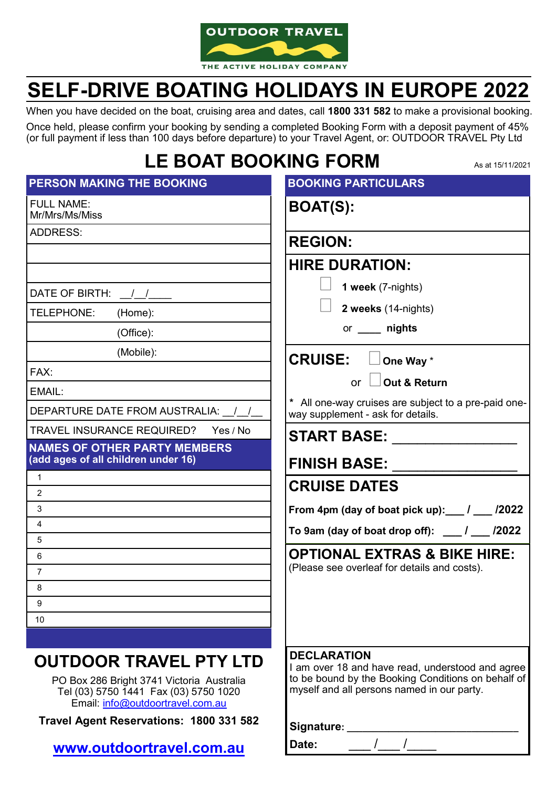

# **SELF-DRIVE BOATING HOLIDAYS IN EUROPE 2022**

When you have decided on the boat, cruising area and dates, call **1800 331 582** to make a provisional booking. Once held, please confirm your booking by sending a completed Booking Form with a deposit payment of 45% (or full payment if less than 100 days before departure) to your Travel Agent, or: OUTDOOR TRAVEL Pty Ltd

## **LE BOAT BOOKING FORM**

| LE DUAI DUUNINU FUKIVI<br>As at 15/11/2021                                 |                                                                                                                              |
|----------------------------------------------------------------------------|------------------------------------------------------------------------------------------------------------------------------|
| PERSON MAKING THE BOOKING                                                  | <b>BOOKING PARTICULARS</b>                                                                                                   |
| <b>FULL NAME:</b><br>Mr/Mrs/Ms/Miss                                        | <b>BOAT(S):</b>                                                                                                              |
| <b>ADDRESS:</b>                                                            | <b>REGION:</b>                                                                                                               |
|                                                                            | <b>HIRE DURATION:</b>                                                                                                        |
| DATE OF BIRTH: / /                                                         | 1 week (7-nights)                                                                                                            |
| TELEPHONE:<br>(Home):                                                      | 2 weeks (14-nights)                                                                                                          |
| (Office):                                                                  | or _____ nights                                                                                                              |
| (Mobile):                                                                  | <b>CRUISE:</b><br>One Way *                                                                                                  |
| FAX:                                                                       | Out & Return<br><b>or</b>                                                                                                    |
| EMAIL:                                                                     |                                                                                                                              |
| DEPARTURE DATE FROM AUSTRALIA: \[/\]                                       | * All one-way cruises are subject to a pre-paid one-<br>way supplement - ask for details.                                    |
| <b>TRAVEL INSURANCE REQUIRED?</b><br>Yes / No                              | <b>START BASE:</b>                                                                                                           |
| <b>NAMES OF OTHER PARTY MEMBERS</b><br>(add ages of all children under 16) | <b>FINISH BASE:</b>                                                                                                          |
| $\mathbf{1}$                                                               | <b>CRUISE DATES</b>                                                                                                          |
| $\overline{2}$                                                             |                                                                                                                              |
| 3                                                                          | From 4pm (day of boat pick up): $\frac{1}{2}$ / $\frac{2022}{2}$                                                             |
| $\overline{4}$                                                             | To 9am (day of boat drop off): $\frac{1}{\sqrt{2022}}$                                                                       |
| 5<br>6                                                                     | <b>OPTIONAL EXTRAS &amp; BIKE HIRE:</b>                                                                                      |
| $\overline{7}$                                                             | (Please see overleaf for details and costs).                                                                                 |
| 8                                                                          |                                                                                                                              |
| 9                                                                          |                                                                                                                              |
| 10                                                                         |                                                                                                                              |
|                                                                            |                                                                                                                              |
| <b>OUTDOOR TRAVEL PTY LTD</b><br>PO Box 286 Bright 3741 Victoria Australia | <b>DECLARATION</b><br>I am over 18 and have read, understood and agree<br>to be bound by the Booking Conditions on behalf of |

PO Box 286 Bright 3741 Victoria Australia Tel (03) 5750 1441 Fax (03) 5750 1020 Email: info@outdoortravel.com.au

**Travel Agent Reservations: 1800 331 582**

**<www.outdoortravel.com.au>**

| <b>I'M be bound by the Dooming Conditions on behalf</b> or<br>myself and all persons named in our party. |  |  |
|----------------------------------------------------------------------------------------------------------|--|--|
|                                                                                                          |  |  |
|                                                                                                          |  |  |
|                                                                                                          |  |  |
| Signature:                                                                                               |  |  |
| <b>IDate:</b>                                                                                            |  |  |
|                                                                                                          |  |  |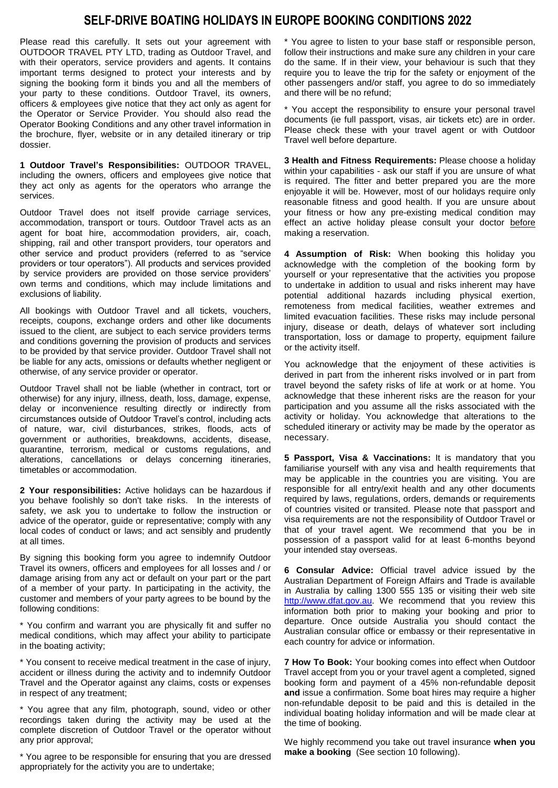### **SELF-DRIVE BOATING HOLIDAYS IN EUROPE BOOKING CONDITIONS 2022**

Please read this carefully. It sets out your agreement with OUTDOOR TRAVEL PTY LTD, trading as Outdoor Travel, and with their operators, service providers and agents. It contains important terms designed to protect your interests and by signing the booking form it binds you and all the members of your party to these conditions. Outdoor Travel, its owners, officers & employees give notice that they act only as agent for the Operator or Service Provider. You should also read the Operator Booking Conditions and any other travel information in the brochure, flyer, website or in any detailed itinerary or trip dossier.

**1 Outdoor Travel's Responsibilities:** OUTDOOR TRAVEL, including the owners, officers and employees give notice that they act only as agents for the operators who arrange the services.

Outdoor Travel does not itself provide carriage services, accommodation, transport or tours. Outdoor Travel acts as an agent for boat hire, accommodation providers, air, coach, shipping, rail and other transport providers, tour operators and other service and product providers (referred to as "service providers or tour operators"). All products and services provided by service providers are provided on those service providers' own terms and conditions, which may include limitations and exclusions of liability.

All bookings with Outdoor Travel and all tickets, vouchers, receipts, coupons, exchange orders and other like documents issued to the client, are subject to each service providers terms and conditions governing the provision of products and services to be provided by that service provider. Outdoor Travel shall not be liable for any acts, omissions or defaults whether negligent or otherwise, of any service provider or operator.

Outdoor Travel shall not be liable (whether in contract, tort or otherwise) for any injury, illness, death, loss, damage, expense, delay or inconvenience resulting directly or indirectly from circumstances outside of Outdoor Travel's control, including acts of nature, war, civil disturbances, strikes, floods, acts of government or authorities, breakdowns, accidents, disease, quarantine, terrorism, medical or customs regulations, and alterations, cancellations or delays concerning itineraries, timetables or accommodation.

**2 Your responsibilities:** Active holidays can be hazardous if you behave foolishly so don't take risks. In the interests of safety, we ask you to undertake to follow the instruction or advice of the operator, guide or representative; comply with any local codes of conduct or laws; and act sensibly and prudently at all times.

By signing this booking form you agree to indemnify Outdoor Travel its owners, officers and employees for all losses and / or damage arising from any act or default on your part or the part of a member of your party. In participating in the activity, the customer and members of your party agrees to be bound by the following conditions:

\* You confirm and warrant you are physically fit and suffer no medical conditions, which may affect your ability to participate in the boating activity;

\* You consent to receive medical treatment in the case of injury, accident or illness during the activity and to indemnify Outdoor Travel and the Operator against any claims, costs or expenses in respect of any treatment;

\* You agree that any film, photograph, sound, video or other recordings taken during the activity may be used at the complete discretion of Outdoor Travel or the operator without any prior approval;

\* You agree to be responsible for ensuring that you are dressed appropriately for the activity you are to undertake;

\* You agree to listen to your base staff or responsible person, follow their instructions and make sure any children in your care do the same. If in their view, your behaviour is such that they require you to leave the trip for the safety or enjoyment of the other passengers and/or staff, you agree to do so immediately and there will be no refund;

\* You accept the responsibility to ensure your personal travel documents (ie full passport, visas, air tickets etc) are in order. Please check these with your travel agent or with Outdoor Travel well before departure.

**3 Health and Fitness Requirements:** Please choose a holiday within your capabilities - ask our staff if you are unsure of what is required. The fitter and better prepared you are the more enjoyable it will be. However, most of our holidays require only reasonable fitness and good health. If you are unsure about your fitness or how any pre-existing medical condition may effect an active holiday please consult your doctor before making a reservation.

**4 Assumption of Risk:** When booking this holiday you acknowledge with the completion of the booking form by yourself or your representative that the activities you propose to undertake in addition to usual and risks inherent may have potential additional hazards including physical exertion, remoteness from medical facilities, weather extremes and limited evacuation facilities. These risks may include personal injury, disease or death, delays of whatever sort including transportation, loss or damage to property, equipment failure or the activity itself.

You acknowledge that the enjoyment of these activities is derived in part from the inherent risks involved or in part from travel beyond the safety risks of life at work or at home. You acknowledge that these inherent risks are the reason for your participation and you assume all the risks associated with the activity or holiday. You acknowledge that alterations to the scheduled itinerary or activity may be made by the operator as necessary.

**5 Passport, Visa & Vaccinations:** It is mandatory that you familiarise yourself with any visa and health requirements that may be applicable in the countries you are visiting. You are responsible for all entry/exit health and any other documents required by laws, regulations, orders, demands or requirements of countries visited or transited. Please note that passport and visa requirements are not the responsibility of Outdoor Travel or that of your travel agent. We recommend that you be in possession of a passport valid for at least 6-months beyond your intended stay overseas.

**6 Consular Advice:** Official travel advice issued by the Australian Department of Foreign Affairs and Trade is available in Australia by calling 1300 555 135 or visiting their web site [http://www.dfat.gov.au.](http://www.dfat.gov.au/) We recommend that you review this information both prior to making your booking and prior to departure. Once outside Australia you should contact the Australian consular office or embassy or their representative in each country for advice or information.

**7 How To Book:** Your booking comes into effect when Outdoor Travel accept from you or your travel agent a completed, signed booking form and payment of a 45% non-refundable deposit **and** issue a confirmation. Some boat hires may require a higher non-refundable deposit to be paid and this is detailed in the individual boating holiday information and will be made clear at the time of booking.

We highly recommend you take out travel insurance **when you make a booking** (See section 10 following).